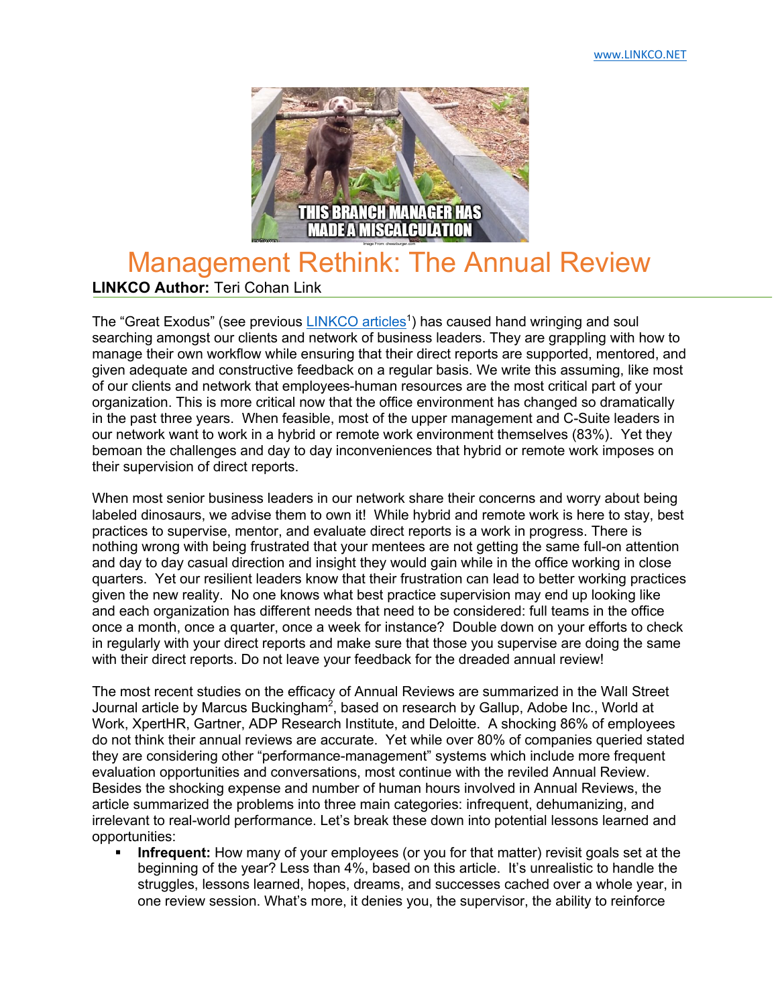

## Management Rethink: The Annual Review **LINKCO Author:** Teri Cohan Link

The "Great Exodus" (see previous LINKCO articles<sup>1</sup>) has caused hand wringing and soul searching amongst our clients and network of business leaders. They are grappling with how to manage their own workflow while ensuring that their direct reports are supported, mentored, and given adequate and constructive feedback on a regular basis. We write this assuming, like most of our clients and network that employees-human resources are the most critical part of your organization. This is more critical now that the office environment has changed so dramatically in the past three years. When feasible, most of the upper management and C-Suite leaders in our network want to work in a hybrid or remote work environment themselves (83%). Yet they bemoan the challenges and day to day inconveniences that hybrid or remote work imposes on their supervision of direct reports.

When most senior business leaders in our network share their concerns and worry about being labeled dinosaurs, we advise them to own it! While hybrid and remote work is here to stay, best practices to supervise, mentor, and evaluate direct reports is a work in progress. There is nothing wrong with being frustrated that your mentees are not getting the same full-on attention and day to day casual direction and insight they would gain while in the office working in close quarters. Yet our resilient leaders know that their frustration can lead to better working practices given the new reality. No one knows what best practice supervision may end up looking like and each organization has different needs that need to be considered: full teams in the office once a month, once a quarter, once a week for instance? Double down on your efforts to check in regularly with your direct reports and make sure that those you supervise are doing the same with their direct reports. Do not leave your feedback for the dreaded annual review!

The most recent studies on the efficacy of Annual Reviews are summarized in the Wall Street Journal article by Marcus Buckingham<sup>2</sup>, based on research by Gallup, Adobe Inc., World at Work, XpertHR, Gartner, ADP Research Institute, and Deloitte. A shocking 86% of employees do not think their annual reviews are accurate. Yet while over 80% of companies queried stated they are considering other "performance-management" systems which include more frequent evaluation opportunities and conversations, most continue with the reviled Annual Review. Besides the shocking expense and number of human hours involved in Annual Reviews, the article summarized the problems into three main categories: infrequent, dehumanizing, and irrelevant to real-world performance. Let's break these down into potential lessons learned and opportunities:

Infrequent: How many of your employees (or you for that matter) revisit goals set at the beginning of the year? Less than 4%, based on this article. It's unrealistic to handle the struggles, lessons learned, hopes, dreams, and successes cached over a whole year, in one review session. What's more, it denies you, the supervisor, the ability to reinforce